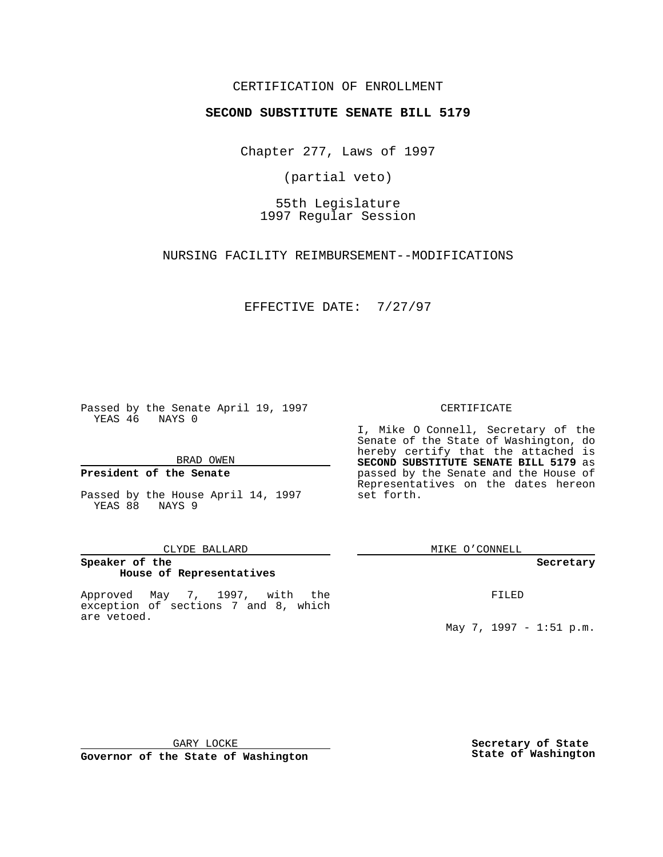# CERTIFICATION OF ENROLLMENT

# **SECOND SUBSTITUTE SENATE BILL 5179**

Chapter 277, Laws of 1997

(partial veto)

55th Legislature 1997 Regular Session

NURSING FACILITY REIMBURSEMENT--MODIFICATIONS

EFFECTIVE DATE: 7/27/97

Passed by the Senate April 19, 1997 YEAS 46 NAYS 0

BRAD OWEN

### **President of the Senate**

Passed by the House April 14, 1997 YEAS 88 NAYS 9

### CLYDE BALLARD

# **Speaker of the House of Representatives**

Approved May 7, 1997, with the exception of sections 7 and 8, which are vetoed.

### CERTIFICATE

I, Mike O Connell, Secretary of the Senate of the State of Washington, do hereby certify that the attached is **SECOND SUBSTITUTE SENATE BILL 5179** as passed by the Senate and the House of Representatives on the dates hereon set forth.

MIKE O'CONNELL

### **Secretary**

FILED

May 7, 1997 - 1:51 p.m.

GARY LOCKE

**Governor of the State of Washington**

**Secretary of State State of Washington**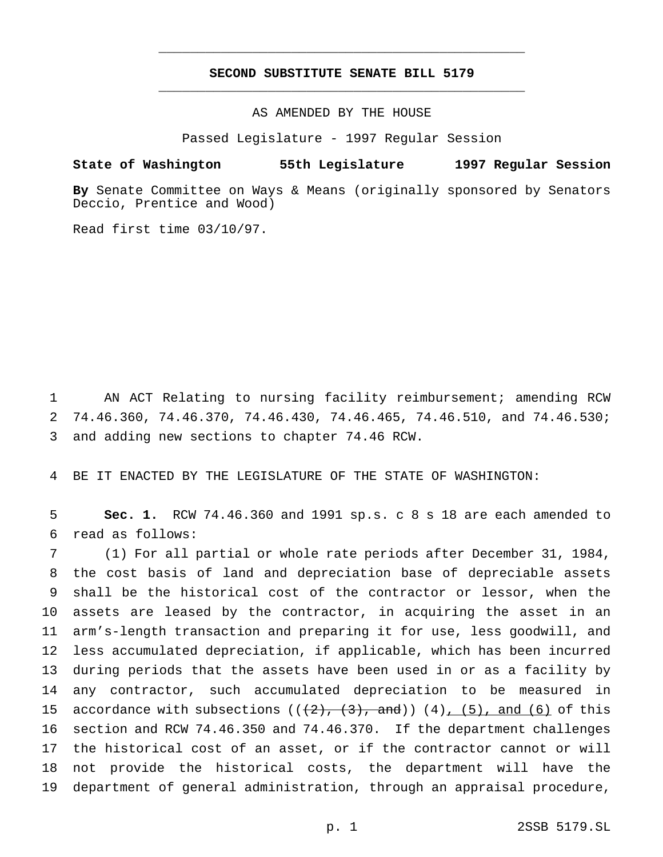# **SECOND SUBSTITUTE SENATE BILL 5179** \_\_\_\_\_\_\_\_\_\_\_\_\_\_\_\_\_\_\_\_\_\_\_\_\_\_\_\_\_\_\_\_\_\_\_\_\_\_\_\_\_\_\_\_\_\_\_

\_\_\_\_\_\_\_\_\_\_\_\_\_\_\_\_\_\_\_\_\_\_\_\_\_\_\_\_\_\_\_\_\_\_\_\_\_\_\_\_\_\_\_\_\_\_\_

## AS AMENDED BY THE HOUSE

Passed Legislature - 1997 Regular Session

### **State of Washington 55th Legislature 1997 Regular Session**

**By** Senate Committee on Ways & Means (originally sponsored by Senators Deccio, Prentice and Wood)

Read first time 03/10/97.

 AN ACT Relating to nursing facility reimbursement; amending RCW 74.46.360, 74.46.370, 74.46.430, 74.46.465, 74.46.510, and 74.46.530; and adding new sections to chapter 74.46 RCW.

BE IT ENACTED BY THE LEGISLATURE OF THE STATE OF WASHINGTON:

 **Sec. 1.** RCW 74.46.360 and 1991 sp.s. c 8 s 18 are each amended to read as follows:

 (1) For all partial or whole rate periods after December 31, 1984, the cost basis of land and depreciation base of depreciable assets shall be the historical cost of the contractor or lessor, when the assets are leased by the contractor, in acquiring the asset in an arm's-length transaction and preparing it for use, less goodwill, and less accumulated depreciation, if applicable, which has been incurred during periods that the assets have been used in or as a facility by any contractor, such accumulated depreciation to be measured in 15 accordance with subsections  $((2), (3),$  and))  $(4), (5),$  and  $(6)$  of this section and RCW 74.46.350 and 74.46.370. If the department challenges the historical cost of an asset, or if the contractor cannot or will not provide the historical costs, the department will have the department of general administration, through an appraisal procedure,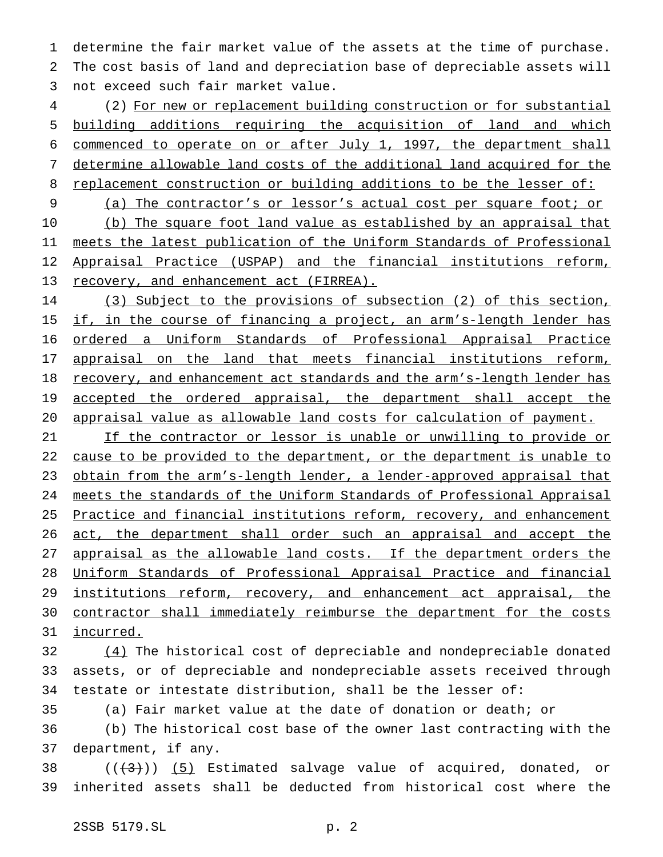determine the fair market value of the assets at the time of purchase. The cost basis of land and depreciation base of depreciable assets will not exceed such fair market value.

 (2) For new or replacement building construction or for substantial building additions requiring the acquisition of land and which commenced to operate on or after July 1, 1997, the department shall determine allowable land costs of the additional land acquired for the 8 replacement construction or building additions to be the lesser of:

9 (a) The contractor's or lessor's actual cost per square foot; or 10 (b) The square foot land value as established by an appraisal that meets the latest publication of the Uniform Standards of Professional Appraisal Practice (USPAP) and the financial institutions reform, 13 recovery, and enhancement act (FIRREA).

 (3) Subject to the provisions of subsection (2) of this section, 15 if, in the course of financing a project, an arm's-length lender has ordered a Uniform Standards of Professional Appraisal Practice 17 appraisal on the land that meets financial institutions reform, recovery, and enhancement act standards and the arm's-length lender has 19 accepted the ordered appraisal, the department shall accept the appraisal value as allowable land costs for calculation of payment.

 If the contractor or lessor is unable or unwilling to provide or cause to be provided to the department, or the department is unable to 23 obtain from the arm's-length lender, a lender-approved appraisal that meets the standards of the Uniform Standards of Professional Appraisal 25 Practice and financial institutions reform, recovery, and enhancement 26 act, the department shall order such an appraisal and accept the 27 appraisal as the allowable land costs. If the department orders the Uniform Standards of Professional Appraisal Practice and financial 29 institutions reform, recovery, and enhancement act appraisal, the contractor shall immediately reimburse the department for the costs incurred.

 (4) The historical cost of depreciable and nondepreciable donated assets, or of depreciable and nondepreciable assets received through testate or intestate distribution, shall be the lesser of:

(a) Fair market value at the date of donation or death; or

 (b) The historical cost base of the owner last contracting with the department, if any.

38  $((+3))$   $(5)$  Estimated salvage value of acquired, donated, or inherited assets shall be deducted from historical cost where the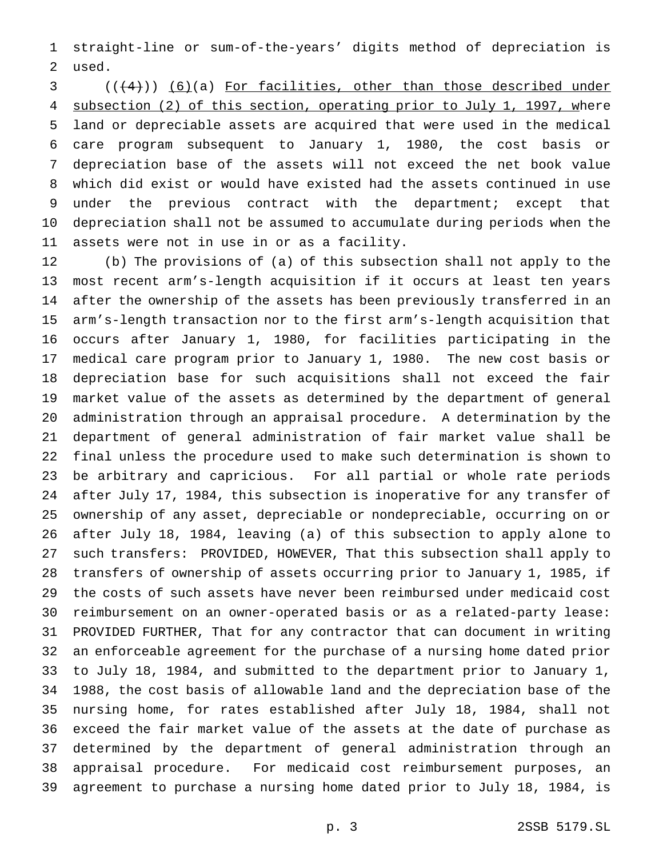straight-line or sum-of-the-years' digits method of depreciation is used.

  $((+4))$   $(6)$  (a) For facilities, other than those described under 4 subsection (2) of this section, operating prior to July 1, 1997, where land or depreciable assets are acquired that were used in the medical care program subsequent to January 1, 1980, the cost basis or depreciation base of the assets will not exceed the net book value which did exist or would have existed had the assets continued in use under the previous contract with the department; except that depreciation shall not be assumed to accumulate during periods when the assets were not in use in or as a facility.

 (b) The provisions of (a) of this subsection shall not apply to the most recent arm's-length acquisition if it occurs at least ten years after the ownership of the assets has been previously transferred in an arm's-length transaction nor to the first arm's-length acquisition that occurs after January 1, 1980, for facilities participating in the medical care program prior to January 1, 1980. The new cost basis or depreciation base for such acquisitions shall not exceed the fair market value of the assets as determined by the department of general administration through an appraisal procedure. A determination by the department of general administration of fair market value shall be final unless the procedure used to make such determination is shown to be arbitrary and capricious. For all partial or whole rate periods after July 17, 1984, this subsection is inoperative for any transfer of ownership of any asset, depreciable or nondepreciable, occurring on or after July 18, 1984, leaving (a) of this subsection to apply alone to such transfers: PROVIDED, HOWEVER, That this subsection shall apply to transfers of ownership of assets occurring prior to January 1, 1985, if the costs of such assets have never been reimbursed under medicaid cost reimbursement on an owner-operated basis or as a related-party lease: PROVIDED FURTHER, That for any contractor that can document in writing an enforceable agreement for the purchase of a nursing home dated prior to July 18, 1984, and submitted to the department prior to January 1, 1988, the cost basis of allowable land and the depreciation base of the nursing home, for rates established after July 18, 1984, shall not exceed the fair market value of the assets at the date of purchase as determined by the department of general administration through an appraisal procedure. For medicaid cost reimbursement purposes, an agreement to purchase a nursing home dated prior to July 18, 1984, is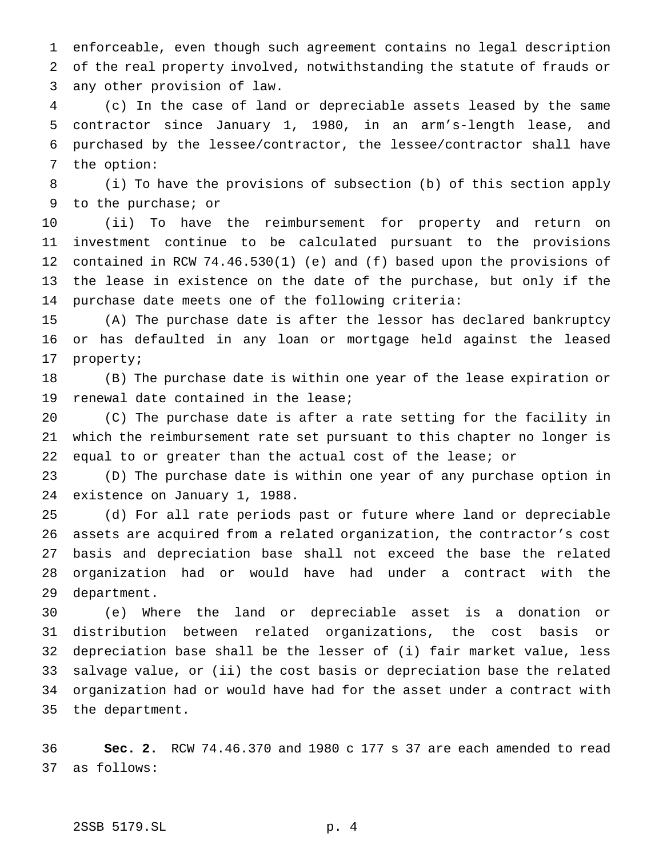enforceable, even though such agreement contains no legal description of the real property involved, notwithstanding the statute of frauds or any other provision of law.

 (c) In the case of land or depreciable assets leased by the same contractor since January 1, 1980, in an arm's-length lease, and purchased by the lessee/contractor, the lessee/contractor shall have the option:

 (i) To have the provisions of subsection (b) of this section apply to the purchase; or

 (ii) To have the reimbursement for property and return on investment continue to be calculated pursuant to the provisions contained in RCW 74.46.530(1) (e) and (f) based upon the provisions of the lease in existence on the date of the purchase, but only if the purchase date meets one of the following criteria:

 (A) The purchase date is after the lessor has declared bankruptcy or has defaulted in any loan or mortgage held against the leased property;

 (B) The purchase date is within one year of the lease expiration or renewal date contained in the lease;

 (C) The purchase date is after a rate setting for the facility in which the reimbursement rate set pursuant to this chapter no longer is equal to or greater than the actual cost of the lease; or

 (D) The purchase date is within one year of any purchase option in existence on January 1, 1988.

 (d) For all rate periods past or future where land or depreciable assets are acquired from a related organization, the contractor's cost basis and depreciation base shall not exceed the base the related organization had or would have had under a contract with the department.

 (e) Where the land or depreciable asset is a donation or distribution between related organizations, the cost basis or depreciation base shall be the lesser of (i) fair market value, less salvage value, or (ii) the cost basis or depreciation base the related organization had or would have had for the asset under a contract with the department.

 **Sec. 2.** RCW 74.46.370 and 1980 c 177 s 37 are each amended to read as follows: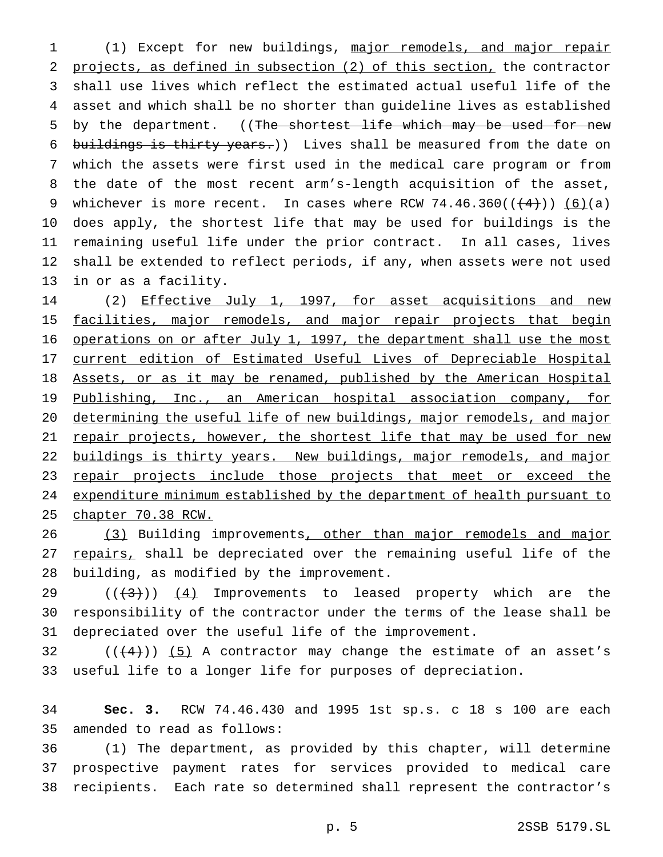(1) Except for new buildings, major remodels, and major repair projects, as defined in subsection (2) of this section, the contractor shall use lives which reflect the estimated actual useful life of the asset and which shall be no shorter than guideline lives as established 5 by the department. ((The shortest life which may be used for new 6 buildings is thirty years.)) Lives shall be measured from the date on which the assets were first used in the medical care program or from the date of the most recent arm's-length acquisition of the asset, 9 whichever is more recent. In cases where RCW  $74.46.360((\left(\frac{4}{3}\right))$  (6)(a) does apply, the shortest life that may be used for buildings is the remaining useful life under the prior contract. In all cases, lives shall be extended to reflect periods, if any, when assets were not used in or as a facility.

14 (2) Effective July 1, 1997, for asset acquisitions and new 15 facilities, major remodels, and major repair projects that begin operations on or after July 1, 1997, the department shall use the most current edition of Estimated Useful Lives of Depreciable Hospital Assets, or as it may be renamed, published by the American Hospital 19 Publishing, Inc., an American hospital association company, for determining the useful life of new buildings, major remodels, and major 21 repair projects, however, the shortest life that may be used for new buildings is thirty years. New buildings, major remodels, and major 23 repair projects include those projects that meet or exceed the expenditure minimum established by the department of health pursuant to chapter 70.38 RCW.

26 (3) Building improvements, other than major remodels and major 27 repairs, shall be depreciated over the remaining useful life of the building, as modified by the improvement.

29 ( $(\langle 4 \rangle)$ )  $(4)$  Improvements to leased property which are the responsibility of the contractor under the terms of the lease shall be depreciated over the useful life of the improvement.

32  $((+4))$  (5) A contractor may change the estimate of an asset's useful life to a longer life for purposes of depreciation.

 **Sec. 3.** RCW 74.46.430 and 1995 1st sp.s. c 18 s 100 are each amended to read as follows:

 (1) The department, as provided by this chapter, will determine prospective payment rates for services provided to medical care recipients. Each rate so determined shall represent the contractor's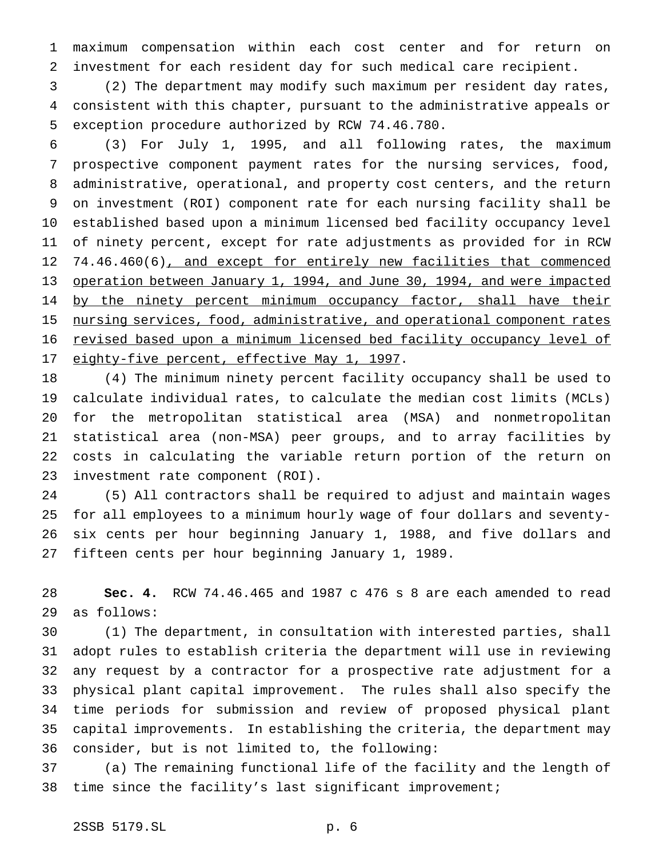maximum compensation within each cost center and for return on investment for each resident day for such medical care recipient.

 (2) The department may modify such maximum per resident day rates, consistent with this chapter, pursuant to the administrative appeals or exception procedure authorized by RCW 74.46.780.

 (3) For July 1, 1995, and all following rates, the maximum prospective component payment rates for the nursing services, food, administrative, operational, and property cost centers, and the return on investment (ROI) component rate for each nursing facility shall be established based upon a minimum licensed bed facility occupancy level of ninety percent, except for rate adjustments as provided for in RCW 74.46.460(6), and except for entirely new facilities that commenced operation between January 1, 1994, and June 30, 1994, and were impacted 14 by the ninety percent minimum occupancy factor, shall have their 15 nursing services, food, administrative, and operational component rates revised based upon a minimum licensed bed facility occupancy level of 17 eighty-five percent, effective May 1, 1997.

 (4) The minimum ninety percent facility occupancy shall be used to calculate individual rates, to calculate the median cost limits (MCLs) for the metropolitan statistical area (MSA) and nonmetropolitan statistical area (non-MSA) peer groups, and to array facilities by costs in calculating the variable return portion of the return on investment rate component (ROI).

 (5) All contractors shall be required to adjust and maintain wages for all employees to a minimum hourly wage of four dollars and seventy- six cents per hour beginning January 1, 1988, and five dollars and fifteen cents per hour beginning January 1, 1989.

 **Sec. 4.** RCW 74.46.465 and 1987 c 476 s 8 are each amended to read as follows:

 (1) The department, in consultation with interested parties, shall adopt rules to establish criteria the department will use in reviewing any request by a contractor for a prospective rate adjustment for a physical plant capital improvement. The rules shall also specify the time periods for submission and review of proposed physical plant capital improvements. In establishing the criteria, the department may consider, but is not limited to, the following:

 (a) The remaining functional life of the facility and the length of time since the facility's last significant improvement;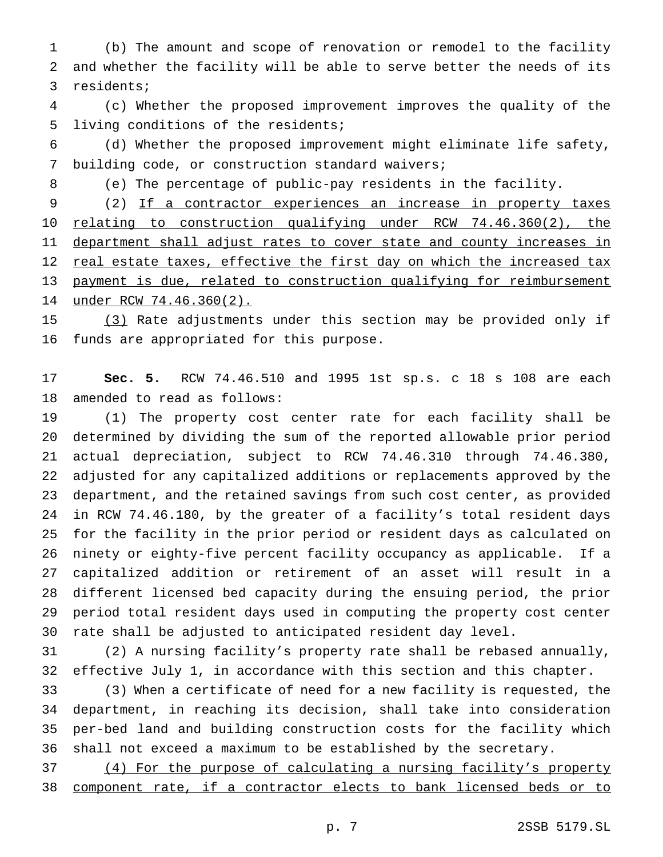(b) The amount and scope of renovation or remodel to the facility and whether the facility will be able to serve better the needs of its residents;

 (c) Whether the proposed improvement improves the quality of the living conditions of the residents;

 (d) Whether the proposed improvement might eliminate life safety, building code, or construction standard waivers;

(e) The percentage of public-pay residents in the facility.

 (2) If a contractor experiences an increase in property taxes 10 relating to construction qualifying under RCW 74.46.360(2), the 11 department shall adjust rates to cover state and county increases in 12 real estate taxes, effective the first day on which the increased tax 13 payment is due, related to construction qualifying for reimbursement under RCW 74.46.360(2).

 (3) Rate adjustments under this section may be provided only if funds are appropriated for this purpose.

 **Sec. 5.** RCW 74.46.510 and 1995 1st sp.s. c 18 s 108 are each amended to read as follows:

 (1) The property cost center rate for each facility shall be determined by dividing the sum of the reported allowable prior period actual depreciation, subject to RCW 74.46.310 through 74.46.380, adjusted for any capitalized additions or replacements approved by the department, and the retained savings from such cost center, as provided in RCW 74.46.180, by the greater of a facility's total resident days for the facility in the prior period or resident days as calculated on ninety or eighty-five percent facility occupancy as applicable. If a capitalized addition or retirement of an asset will result in a different licensed bed capacity during the ensuing period, the prior period total resident days used in computing the property cost center rate shall be adjusted to anticipated resident day level.

 (2) A nursing facility's property rate shall be rebased annually, effective July 1, in accordance with this section and this chapter.

 (3) When a certificate of need for a new facility is requested, the department, in reaching its decision, shall take into consideration per-bed land and building construction costs for the facility which shall not exceed a maximum to be established by the secretary.

 (4) For the purpose of calculating a nursing facility's property component rate, if a contractor elects to bank licensed beds or to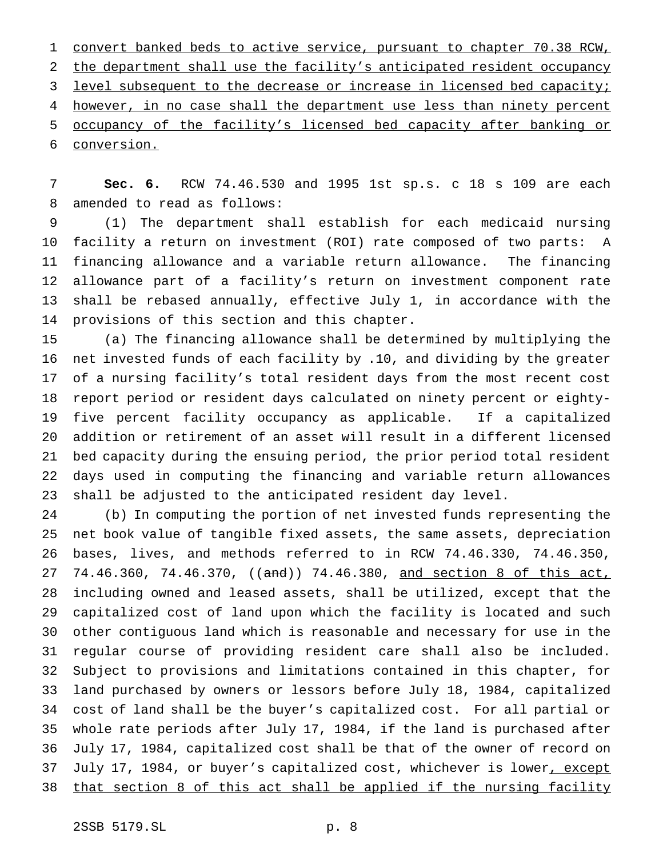convert banked beds to active service, pursuant to chapter 70.38 RCW, the department shall use the facility's anticipated resident occupancy 3 level subsequent to the decrease or increase in licensed bed capacity; 4 however, in no case shall the department use less than ninety percent occupancy of the facility's licensed bed capacity after banking or conversion.

 **Sec. 6.** RCW 74.46.530 and 1995 1st sp.s. c 18 s 109 are each amended to read as follows:

 (1) The department shall establish for each medicaid nursing facility a return on investment (ROI) rate composed of two parts: A financing allowance and a variable return allowance. The financing allowance part of a facility's return on investment component rate shall be rebased annually, effective July 1, in accordance with the provisions of this section and this chapter.

 (a) The financing allowance shall be determined by multiplying the net invested funds of each facility by .10, and dividing by the greater of a nursing facility's total resident days from the most recent cost report period or resident days calculated on ninety percent or eighty- five percent facility occupancy as applicable. If a capitalized addition or retirement of an asset will result in a different licensed bed capacity during the ensuing period, the prior period total resident days used in computing the financing and variable return allowances shall be adjusted to the anticipated resident day level.

 (b) In computing the portion of net invested funds representing the net book value of tangible fixed assets, the same assets, depreciation bases, lives, and methods referred to in RCW 74.46.330, 74.46.350, 27 74.46.360, 74.46.370, ((and)) 74.46.380, and section 8 of this act, including owned and leased assets, shall be utilized, except that the capitalized cost of land upon which the facility is located and such other contiguous land which is reasonable and necessary for use in the regular course of providing resident care shall also be included. Subject to provisions and limitations contained in this chapter, for land purchased by owners or lessors before July 18, 1984, capitalized cost of land shall be the buyer's capitalized cost. For all partial or whole rate periods after July 17, 1984, if the land is purchased after July 17, 1984, capitalized cost shall be that of the owner of record on 37 July 17, 1984, or buyer's capitalized cost, whichever is lower, except that section 8 of this act shall be applied if the nursing facility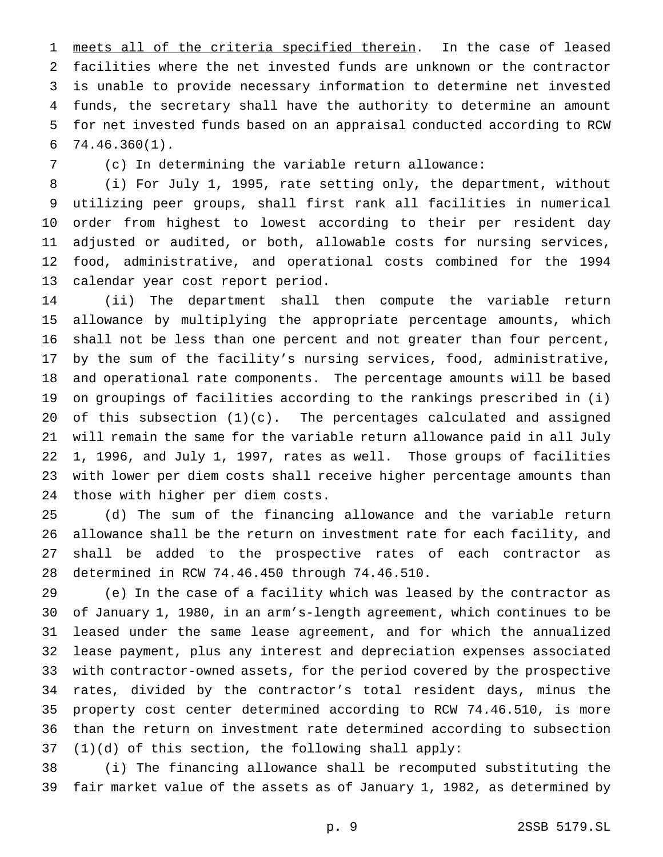1 meets all of the criteria specified therein. In the case of leased facilities where the net invested funds are unknown or the contractor is unable to provide necessary information to determine net invested funds, the secretary shall have the authority to determine an amount for net invested funds based on an appraisal conducted according to RCW 74.46.360(1).

(c) In determining the variable return allowance:

 (i) For July 1, 1995, rate setting only, the department, without utilizing peer groups, shall first rank all facilities in numerical order from highest to lowest according to their per resident day adjusted or audited, or both, allowable costs for nursing services, food, administrative, and operational costs combined for the 1994 calendar year cost report period.

 (ii) The department shall then compute the variable return allowance by multiplying the appropriate percentage amounts, which shall not be less than one percent and not greater than four percent, by the sum of the facility's nursing services, food, administrative, and operational rate components. The percentage amounts will be based on groupings of facilities according to the rankings prescribed in (i) of this subsection (1)(c). The percentages calculated and assigned will remain the same for the variable return allowance paid in all July 1, 1996, and July 1, 1997, rates as well. Those groups of facilities with lower per diem costs shall receive higher percentage amounts than those with higher per diem costs.

 (d) The sum of the financing allowance and the variable return allowance shall be the return on investment rate for each facility, and shall be added to the prospective rates of each contractor as determined in RCW 74.46.450 through 74.46.510.

 (e) In the case of a facility which was leased by the contractor as of January 1, 1980, in an arm's-length agreement, which continues to be leased under the same lease agreement, and for which the annualized lease payment, plus any interest and depreciation expenses associated with contractor-owned assets, for the period covered by the prospective rates, divided by the contractor's total resident days, minus the property cost center determined according to RCW 74.46.510, is more than the return on investment rate determined according to subsection (1)(d) of this section, the following shall apply:

 (i) The financing allowance shall be recomputed substituting the fair market value of the assets as of January 1, 1982, as determined by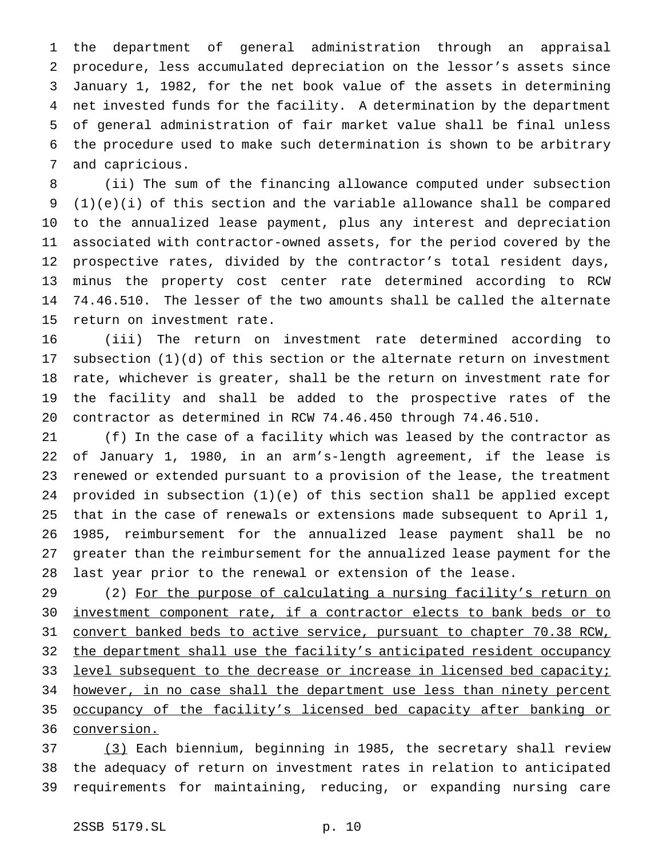the department of general administration through an appraisal procedure, less accumulated depreciation on the lessor's assets since January 1, 1982, for the net book value of the assets in determining net invested funds for the facility. A determination by the department of general administration of fair market value shall be final unless the procedure used to make such determination is shown to be arbitrary and capricious.

 (ii) The sum of the financing allowance computed under subsection (1)(e)(i) of this section and the variable allowance shall be compared to the annualized lease payment, plus any interest and depreciation associated with contractor-owned assets, for the period covered by the prospective rates, divided by the contractor's total resident days, minus the property cost center rate determined according to RCW 74.46.510. The lesser of the two amounts shall be called the alternate return on investment rate.

 (iii) The return on investment rate determined according to subsection (1)(d) of this section or the alternate return on investment rate, whichever is greater, shall be the return on investment rate for the facility and shall be added to the prospective rates of the contractor as determined in RCW 74.46.450 through 74.46.510.

 (f) In the case of a facility which was leased by the contractor as of January 1, 1980, in an arm's-length agreement, if the lease is renewed or extended pursuant to a provision of the lease, the treatment provided in subsection (1)(e) of this section shall be applied except that in the case of renewals or extensions made subsequent to April 1, 1985, reimbursement for the annualized lease payment shall be no greater than the reimbursement for the annualized lease payment for the last year prior to the renewal or extension of the lease.

29 (2) For the purpose of calculating a nursing facility's return on investment component rate, if a contractor elects to bank beds or to convert banked beds to active service, pursuant to chapter 70.38 RCW, 32 the department shall use the facility's anticipated resident occupancy 33 level subsequent to the decrease or increase in licensed bed capacity; 34 however, in no case shall the department use less than ninety percent 35 occupancy of the facility's licensed bed capacity after banking or conversion.

 (3) Each biennium, beginning in 1985, the secretary shall review the adequacy of return on investment rates in relation to anticipated requirements for maintaining, reducing, or expanding nursing care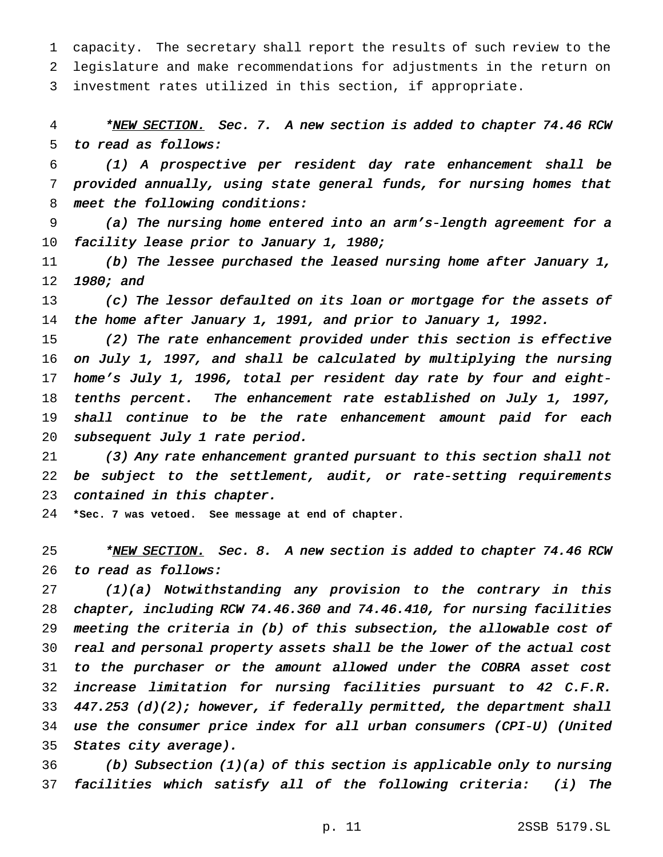capacity. The secretary shall report the results of such review to the legislature and make recommendations for adjustments in the return on investment rates utilized in this section, if appropriate.

4 \*NEW SECTION. Sec. 7. A new section is added to chapter 74.46 RCW to read as follows:

 (1) <sup>A</sup> prospective per resident day rate enhancement shall be provided annually, using state general funds, for nursing homes that meet the following conditions:

 (a) The nursing home entered into an arm's-length agreement for <sup>a</sup> facility lease prior to January 1, 1980;

 (b) The lessee purchased the leased nursing home after January 1, 1980; and

13 (c) The lessor defaulted on its loan or mortgage for the assets of the home after January 1, 1991, and prior to January 1, 1992.

 (2) The rate enhancement provided under this section is effective on July 1, 1997, and shall be calculated by multiplying the nursing home's July 1, 1996, total per resident day rate by four and eight-18 tenths percent. The enhancement rate established on July 1, 1997, 19 shall continue to be the rate enhancement amount paid for each 20 subsequent July 1 rate period.

 (3) Any rate enhancement granted pursuant to this section shall not 22 be subject to the settlement, audit, or rate-setting requirements contained in this chapter.

**\*Sec. 7 was vetoed. See message at end of chapter.**

25 \*NEW SECTION. Sec. 8. A new section is added to chapter 74.46 RCW to read as follows:

 (1)(a) Notwithstanding any provision to the contrary in this chapter, including RCW 74.46.360 and 74.46.410, for nursing facilities meeting the criteria in (b) of this subsection, the allowable cost of real and personal property assets shall be the lower of the actual cost to the purchaser or the amount allowed under the COBRA asset cost increase limitation for nursing facilities pursuant to <sup>42</sup> C.F.R.  $447.253$  (d)(2); however, if federally permitted, the department shall use the consumer price index for all urban consumers (CPI-U) (United States city average).

36 (b) Subsection (1)(a) of this section is applicable only to nursing facilities which satisfy all of the following criteria: (i) The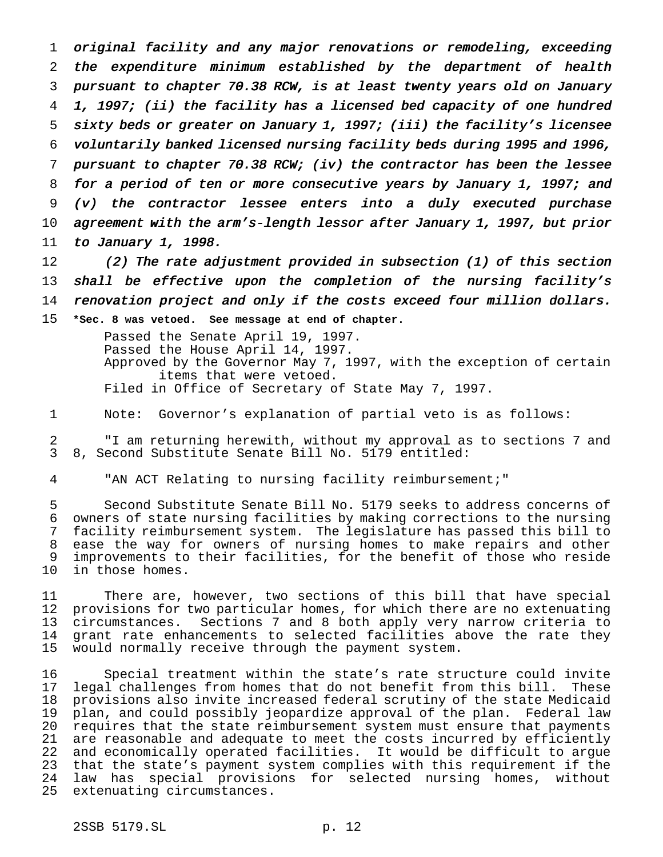original facility and any major renovations or remodeling, exceeding the expenditure minimum established by the department of health pursuant to chapter 70.38 RCW, is at least twenty years old on January 1, 1997; (ii) the facility has <sup>a</sup> licensed bed capacity of one hundred sixty beds or greater on January 1, 1997; (iii) the facility's licensee voluntarily banked licensed nursing facility beds during <sup>1995</sup> and 1996, pursuant to chapter 70.38 RCW; (iv) the contractor has been the lessee for <sup>a</sup> period of ten or more consecutive years by January 1, 1997; and (v) the contractor lessee enters into <sup>a</sup> duly executed purchase agreement with the arm's-length lessor after January 1, 1997, but prior to January 1, 1998.

 (2) The rate adjustment provided in subsection (1) of this section shall be effective upon the completion of the nursing facility's renovation project and only if the costs exceed four million dollars. **\*Sec. 8 was vetoed. See message at end of chapter.**

> Passed the Senate April 19, 1997. Passed the House April 14, 1997. Approved by the Governor May 7, 1997, with the exception of certain items that were vetoed. Filed in Office of Secretary of State May 7, 1997.

Note: Governor's explanation of partial veto is as follows:

 "I am returning herewith, without my approval as to sections 7 and 8, Second Substitute Senate Bill No. 5179 entitled:

"AN ACT Relating to nursing facility reimbursement;"

 Second Substitute Senate Bill No. 5179 seeks to address concerns of owners of state nursing facilities by making corrections to the nursing facility reimbursement system. The legislature has passed this bill to ease the way for owners of nursing homes to make repairs and other improvements to their facilities, for the benefit of those who reside in those homes.

 There are, however, two sections of this bill that have special provisions for two particular homes, for which there are no extenuating circumstances. Sections 7 and 8 both apply very narrow criteria to grant rate enhancements to selected facilities above the rate they would normally receive through the payment system.

 Special treatment within the state's rate structure could invite legal challenges from homes that do not benefit from this bill. These provisions also invite increased federal scrutiny of the state Medicaid plan, and could possibly jeopardize approval of the plan. Federal law requires that the state reimbursement system must ensure that payments are reasonable and adequate to meet the costs incurred by efficiently and economically operated facilities. It would be difficult to argue that the state's payment system complies with this requirement if the law has special provisions for selected nursing homes, without extenuating circumstances.